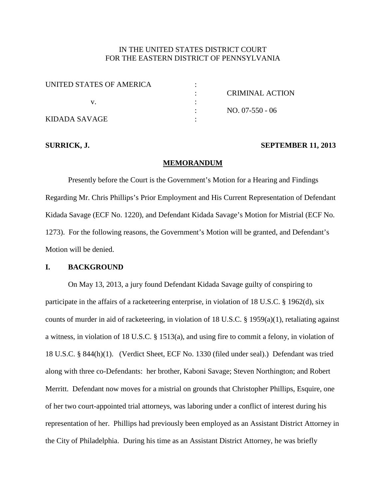# IN THE UNITED STATES DISTRICT COURT FOR THE EASTERN DISTRICT OF PENNSYLVANIA

| UNITED STATES OF AMERICA |                 |
|--------------------------|-----------------|
|                          | CRIMINAL ACTION |
|                          |                 |
|                          | $NO. 07-550-06$ |
| KIDADA SAVAGE            |                 |

#### **SURRICK, J. SEPTEMBER 11, 2013**

#### **MEMORANDUM**

Presently before the Court is the Government's Motion for a Hearing and Findings Regarding Mr. Chris Phillips's Prior Employment and His Current Representation of Defendant Kidada Savage (ECF No. 1220), and Defendant Kidada Savage's Motion for Mistrial (ECF No. 1273). For the following reasons, the Government's Motion will be granted, and Defendant's Motion will be denied.

## **I. BACKGROUND**

On May 13, 2013, a jury found Defendant Kidada Savage guilty of conspiring to participate in the affairs of a racketeering enterprise, in violation of 18 U.S.C. § 1962(d), six counts of murder in aid of racketeering, in violation of 18 U.S.C. § 1959(a)(1), retaliating against a witness, in violation of 18 U.S.C. § 1513(a), and using fire to commit a felony, in violation of 18 U.S.C. § 844(h)(1). (Verdict Sheet, ECF No. 1330 (filed under seal).) Defendant was tried along with three co-Defendants: her brother, Kaboni Savage; Steven Northington; and Robert Merritt. Defendant now moves for a mistrial on grounds that Christopher Phillips, Esquire, one of her two court-appointed trial attorneys, was laboring under a conflict of interest during his representation of her. Phillips had previously been employed as an Assistant District Attorney in the City of Philadelphia. During his time as an Assistant District Attorney, he was briefly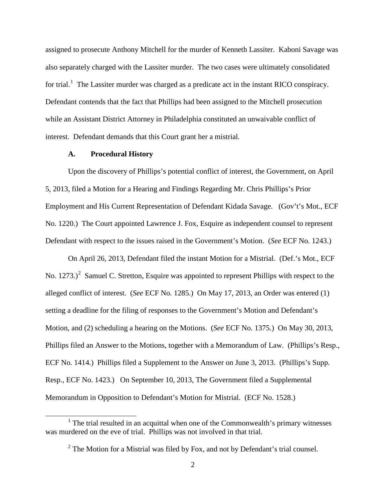assigned to prosecute Anthony Mitchell for the murder of Kenneth Lassiter. Kaboni Savage was also separately charged with the Lassiter murder. The two cases were ultimately consolidated for trial.<sup>[1](#page-17-0)</sup> The Lassiter murder was charged as a predicate act in the instant RICO conspiracy. Defendant contends that the fact that Phillips had been assigned to the Mitchell prosecution while an Assistant District Attorney in Philadelphia constituted an unwaivable conflict of interest. Defendant demands that this Court grant her a mistrial.

#### **A. Procedural History**

Upon the discovery of Phillips's potential conflict of interest, the Government, on April 5, 2013, filed a Motion for a Hearing and Findings Regarding Mr. Chris Phillips's Prior Employment and His Current Representation of Defendant Kidada Savage. (Gov't's Mot., ECF No. 1220.) The Court appointed Lawrence J. Fox, Esquire as independent counsel to represent Defendant with respect to the issues raised in the Government's Motion. (*See* ECF No. 1243.)

<span id="page-1-1"></span>On April 26, 2013, Defendant filed the instant Motion for a Mistrial. (Def.'s Mot., ECF No. 1[2](#page-1-0)73.)<sup>2</sup> Samuel C. Stretton, Esquire was appointed to represent Phillips with respect to the alleged conflict of interest. (*See* ECF No. 1285.) On May 17, 2013, an Order was entered (1) setting a deadline for the filing of responses to the Government's Motion and Defendant's Motion, and (2) scheduling a hearing on the Motions. (*See* ECF No. 1375.) On May 30, 2013, Phillips filed an Answer to the Motions, together with a Memorandum of Law. (Phillips's Resp., ECF No. 1414.) Phillips filed a Supplement to the Answer on June 3, 2013. (Phillips's Supp. Resp., ECF No. 1423.) On September 10, 2013, The Government filed a Supplemental Memorandum in Opposition to Defendant's Motion for Mistrial. (ECF No. 1528.)

<span id="page-1-0"></span> $1$  The trial resulted in an acquittal when one of the Commonwealth's primary witnesses was murdered on the eve of trial. Phillips was not involved in that trial.

 $2$  The Motion for a Mistrial was filed by Fox, and not by Defendant's trial counsel.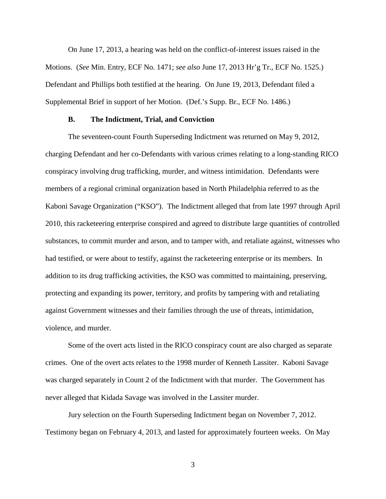On June 17, 2013, a hearing was held on the conflict-of-interest issues raised in the Motions. (*See* Min. Entry, ECF No. 1471; *see also* June 17, 2013 Hr'g Tr., ECF No. 1525.) Defendant and Phillips both testified at the hearing. On June 19, 2013, Defendant filed a Supplemental Brief in support of her Motion. (Def.'s Supp. Br., ECF No. 1486.)

#### **B. The Indictment, Trial, and Conviction**

The seventeen-count Fourth Superseding Indictment was returned on May 9, 2012, charging Defendant and her co-Defendants with various crimes relating to a long-standing RICO conspiracy involving drug trafficking, murder, and witness intimidation. Defendants were members of a regional criminal organization based in North Philadelphia referred to as the Kaboni Savage Organization ("KSO"). The Indictment alleged that from late 1997 through April 2010, this racketeering enterprise conspired and agreed to distribute large quantities of controlled substances, to commit murder and arson, and to tamper with, and retaliate against, witnesses who had testified, or were about to testify, against the racketeering enterprise or its members. In addition to its drug trafficking activities, the KSO was committed to maintaining, preserving, protecting and expanding its power, territory, and profits by tampering with and retaliating against Government witnesses and their families through the use of threats, intimidation, violence, and murder.

Some of the overt acts listed in the RICO conspiracy count are also charged as separate crimes. One of the overt acts relates to the 1998 murder of Kenneth Lassiter. Kaboni Savage was charged separately in Count 2 of the Indictment with that murder. The Government has never alleged that Kidada Savage was involved in the Lassiter murder.

Jury selection on the Fourth Superseding Indictment began on November 7, 2012. Testimony began on February 4, 2013, and lasted for approximately fourteen weeks. On May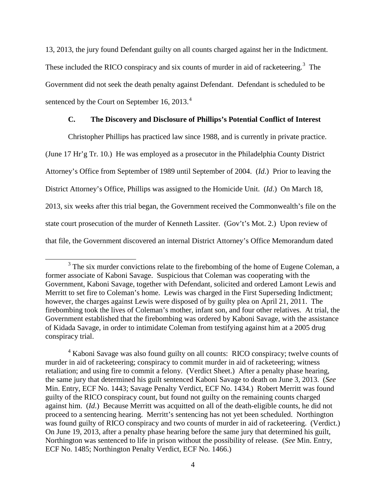13, 2013, the jury found Defendant guilty on all counts charged against her in the Indictment. These included the RICO conspiracy and six counts of murder in aid of racketeering.<sup>[3](#page-1-1)</sup> The Government did not seek the death penalty against Defendant. Defendant is scheduled to be sentenced by the Court on September 16,  $2013.<sup>4</sup>$  $2013.<sup>4</sup>$  $2013.<sup>4</sup>$ 

# **C. The Discovery and Disclosure of Phillips's Potential Conflict of Interest**

Christopher Phillips has practiced law since 1988, and is currently in private practice. (June 17 Hr'g Tr. 10.) He was employed as a prosecutor in the Philadelphia County District Attorney's Office from September of 1989 until September of 2004. (*Id*.) Prior to leaving the District Attorney's Office, Phillips was assigned to the Homicide Unit. (*Id*.) On March 18, 2013, six weeks after this trial began, the Government received the Commonwealth's file on the state court prosecution of the murder of Kenneth Lassiter. (Gov't's Mot. 2.) Upon review of that file, the Government discovered an internal District Attorney's Office Memorandum dated

 $3$  The six murder convictions relate to the firebombing of the home of Eugene Coleman, a former associate of Kaboni Savage. Suspicious that Coleman was cooperating with the Government, Kaboni Savage, together with Defendant, solicited and ordered Lamont Lewis and Merritt to set fire to Coleman's home. Lewis was charged in the First Superseding Indictment; however, the charges against Lewis were disposed of by guilty plea on April 21, 2011. The firebombing took the lives of Coleman's mother, infant son, and four other relatives. At trial, the Government established that the firebombing was ordered by Kaboni Savage, with the assistance of Kidada Savage, in order to intimidate Coleman from testifying against him at a 2005 drug conspiracy trial.

<span id="page-3-1"></span><span id="page-3-0"></span><sup>&</sup>lt;sup>4</sup> Kaboni Savage was also found guilty on all counts: RICO conspiracy; twelve counts of murder in aid of racketeering; conspiracy to commit murder in aid of racketeering; witness retaliation; and using fire to commit a felony. (Verdict Sheet.) After a penalty phase hearing, the same jury that determined his guilt sentenced Kaboni Savage to death on June 3, 2013. (*See* Min. Entry, ECF No. 1443; Savage Penalty Verdict, ECF No. 1434.) Robert Merritt was found guilty of the RICO conspiracy count, but found not guilty on the remaining counts charged against him. (*Id*.) Because Merritt was acquitted on all of the death-eligible counts, he did not proceed to a sentencing hearing. Merritt's sentencing has not yet been scheduled. Northington was found guilty of RICO conspiracy and two counts of murder in aid of racketeering. (Verdict.) On June 19, 2013, after a penalty phase hearing before the same jury that determined his guilt, Northington was sentenced to life in prison without the possibility of release. (*See* Min. Entry, ECF No. 1485; Northington Penalty Verdict, ECF No. 1466.)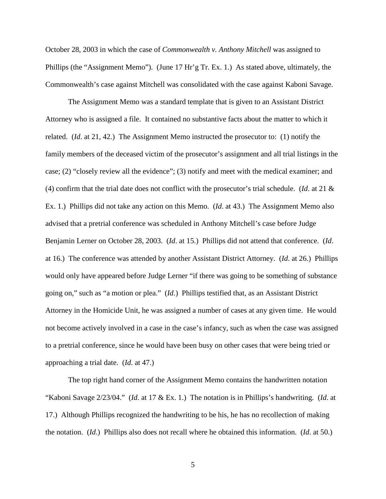October 28, 2003 in which the case of *Commonwealth v. Anthony Mitchell* was assigned to Phillips (the "Assignment Memo"). (June 17 Hr'g Tr. Ex. 1.) As stated above, ultimately, the Commonwealth's case against Mitchell was consolidated with the case against Kaboni Savage.

The Assignment Memo was a standard template that is given to an Assistant District Attorney who is assigned a file. It contained no substantive facts about the matter to which it related. (*Id*. at 21, 42.) The Assignment Memo instructed the prosecutor to: (1) notify the family members of the deceased victim of the prosecutor's assignment and all trial listings in the case; (2) "closely review all the evidence"; (3) notify and meet with the medical examiner; and (4) confirm that the trial date does not conflict with the prosecutor's trial schedule. (*Id*. at 21 & Ex. 1.) Phillips did not take any action on this Memo. (*Id*. at 43.) The Assignment Memo also advised that a pretrial conference was scheduled in Anthony Mitchell's case before Judge Benjamin Lerner on October 28, 2003. (*Id*. at 15.) Phillips did not attend that conference. (*Id*. at 16.) The conference was attended by another Assistant District Attorney. (*Id*. at 26.) Phillips would only have appeared before Judge Lerner "if there was going to be something of substance going on," such as "a motion or plea." (*Id*.) Phillips testified that, as an Assistant District Attorney in the Homicide Unit, he was assigned a number of cases at any given time. He would not become actively involved in a case in the case's infancy, such as when the case was assigned to a pretrial conference, since he would have been busy on other cases that were being tried or approaching a trial date. (*Id*. at 47.)

The top right hand corner of the Assignment Memo contains the handwritten notation "Kaboni Savage 2/23/04." (*Id*. at 17 & Ex. 1.) The notation is in Phillips's handwriting. (*Id*. at 17.) Although Phillips recognized the handwriting to be his, he has no recollection of making the notation. (*Id*.) Phillips also does not recall where he obtained this information. (*Id*. at 50.)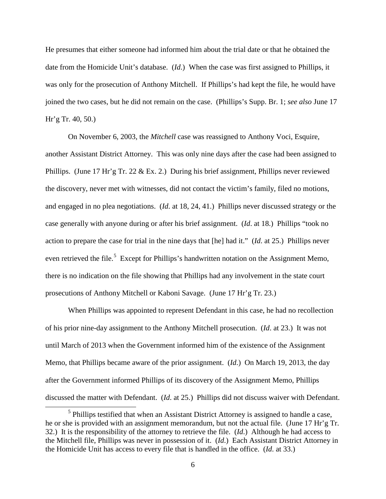He presumes that either someone had informed him about the trial date or that he obtained the date from the Homicide Unit's database. (*Id*.) When the case was first assigned to Phillips, it was only for the prosecution of Anthony Mitchell. If Phillips's had kept the file, he would have joined the two cases, but he did not remain on the case. (Phillips's Supp. Br. 1; *see also* June 17 Hr'g Tr. 40, 50.)

On November 6, 2003, the *Mitchell* case was reassigned to Anthony Voci, Esquire, another Assistant District Attorney. This was only nine days after the case had been assigned to Phillips. (June 17 Hr'g Tr. 22 & Ex. 2.) During his brief assignment, Phillips never reviewed the discovery, never met with witnesses, did not contact the victim's family, filed no motions, and engaged in no plea negotiations. (*Id*. at 18, 24, 41.) Phillips never discussed strategy or the case generally with anyone during or after his brief assignment. (*Id*. at 18.) Phillips "took no action to prepare the case for trial in the nine days that [he] had it." (*Id*. at 25.) Phillips never even retrieved the file.<sup>[5](#page-3-1)</sup> Except for Phillips's handwritten notation on the Assignment Memo, there is no indication on the file showing that Phillips had any involvement in the state court prosecutions of Anthony Mitchell or Kaboni Savage. (June 17 Hr'g Tr. 23.)

When Phillips was appointed to represent Defendant in this case, he had no recollection of his prior nine-day assignment to the Anthony Mitchell prosecution. (*Id*. at 23.) It was not until March of 2013 when the Government informed him of the existence of the Assignment Memo, that Phillips became aware of the prior assignment. (*Id*.) On March 19, 2013, the day after the Government informed Phillips of its discovery of the Assignment Memo, Phillips discussed the matter with Defendant. (*Id*. at 25.) Phillips did not discuss waiver with Defendant.

<span id="page-5-0"></span> $<sup>5</sup>$  Phillips testified that when an Assistant District Attorney is assigned to handle a case,</sup> he or she is provided with an assignment memorandum, but not the actual file. (June 17 Hr'g Tr. 32.) It is the responsibility of the attorney to retrieve the file. (*Id*.) Although he had access to the Mitchell file, Phillips was never in possession of it. (*Id*.) Each Assistant District Attorney in the Homicide Unit has access to every file that is handled in the office. (*Id*. at 33.)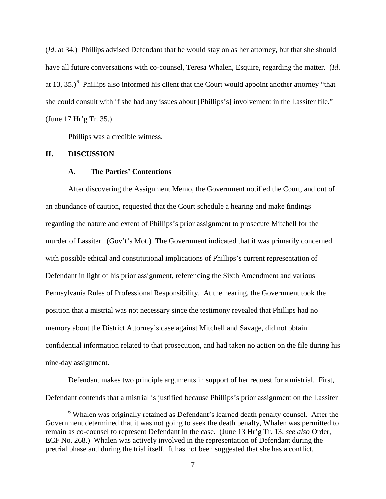(*Id*. at 34.) Phillips advised Defendant that he would stay on as her attorney, but that she should have all future conversations with co-counsel, Teresa Whalen, Esquire, regarding the matter. (*Id*. at 13, 35.)<sup>[6](#page-5-0)</sup> Phillips also informed his client that the Court would appoint another attorney "that she could consult with if she had any issues about [Phillips's] involvement in the Lassiter file." (June 17 Hr'g Tr. 35.)

Phillips was a credible witness.

## **II. DISCUSSION**

### **A. The Parties' Contentions**

After discovering the Assignment Memo, the Government notified the Court, and out of an abundance of caution, requested that the Court schedule a hearing and make findings regarding the nature and extent of Phillips's prior assignment to prosecute Mitchell for the murder of Lassiter. (Gov't's Mot.) The Government indicated that it was primarily concerned with possible ethical and constitutional implications of Phillips's current representation of Defendant in light of his prior assignment, referencing the Sixth Amendment and various Pennsylvania Rules of Professional Responsibility. At the hearing, the Government took the position that a mistrial was not necessary since the testimony revealed that Phillips had no memory about the District Attorney's case against Mitchell and Savage, did not obtain confidential information related to that prosecution, and had taken no action on the file during his nine-day assignment.

<span id="page-6-0"></span>Defendant makes two principle arguments in support of her request for a mistrial. First, Defendant contends that a mistrial is justified because Phillips's prior assignment on the Lassiter

<sup>&</sup>lt;sup>6</sup> Whalen was originally retained as Defendant's learned death penalty counsel. After the Government determined that it was not going to seek the death penalty, Whalen was permitted to remain as co-counsel to represent Defendant in the case. (June 13 Hr'g Tr. 13; *see also* Order, ECF No. 268.) Whalen was actively involved in the representation of Defendant during the pretrial phase and during the trial itself. It has not been suggested that she has a conflict.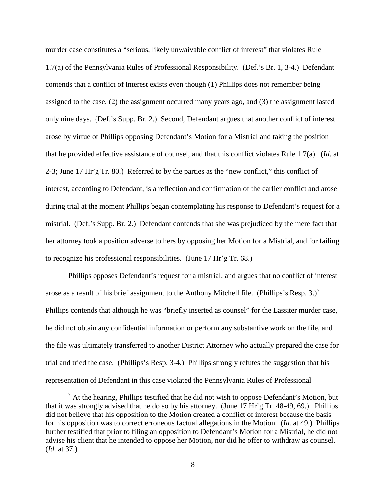murder case constitutes a "serious, likely unwaivable conflict of interest" that violates Rule 1.7(a) of the Pennsylvania Rules of Professional Responsibility. (Def.'s Br. 1, 3-4.) Defendant contends that a conflict of interest exists even though (1) Phillips does not remember being assigned to the case, (2) the assignment occurred many years ago, and (3) the assignment lasted only nine days. (Def.'s Supp. Br. 2.) Second, Defendant argues that another conflict of interest arose by virtue of Phillips opposing Defendant's Motion for a Mistrial and taking the position that he provided effective assistance of counsel, and that this conflict violates Rule 1.7(a). (*Id*. at 2-3; June 17 Hr'g Tr. 80.) Referred to by the parties as the "new conflict," this conflict of interest, according to Defendant, is a reflection and confirmation of the earlier conflict and arose during trial at the moment Phillips began contemplating his response to Defendant's request for a mistrial. (Def.'s Supp. Br. 2.) Defendant contends that she was prejudiced by the mere fact that her attorney took a position adverse to hers by opposing her Motion for a Mistrial, and for failing to recognize his professional responsibilities. (June 17 Hr'g Tr. 68.)

Phillips opposes Defendant's request for a mistrial, and argues that no conflict of interest arose as a result of his brief assignment to the Anthony Mitchell file. (Phillips's Resp. 3.)<sup>[7](#page-6-0)</sup> Phillips contends that although he was "briefly inserted as counsel" for the Lassiter murder case, he did not obtain any confidential information or perform any substantive work on the file, and the file was ultimately transferred to another District Attorney who actually prepared the case for trial and tried the case. (Phillips's Resp. 3-4.) Phillips strongly refutes the suggestion that his representation of Defendant in this case violated the Pennsylvania Rules of Professional

<span id="page-7-0"></span> $7$  At the hearing, Phillips testified that he did not wish to oppose Defendant's Motion, but that it was strongly advised that he do so by his attorney. (June 17 Hr'g Tr. 48-49, 69.) Phillips did not believe that his opposition to the Motion created a conflict of interest because the basis for his opposition was to correct erroneous factual allegations in the Motion. (*Id*. at 49.) Phillips further testified that prior to filing an opposition to Defendant's Motion for a Mistrial, he did not advise his client that he intended to oppose her Motion, nor did he offer to withdraw as counsel. (*Id*. at 37.)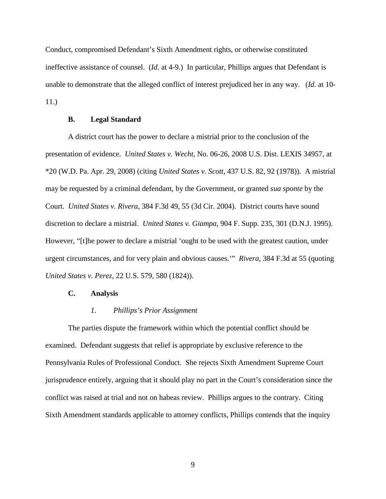Conduct, compromised Defendant's Sixth Amendment rights, or otherwise constituted ineffective assistance of counsel. (*Id*. at 4-9.) In particular, Phillips argues that Defendant is unable to demonstrate that the alleged conflict of interest prejudiced her in any way. (*Id.* at 10- 11.)

#### **B. Legal Standard**

A district court has the power to declare a mistrial prior to the conclusion of the presentation of evidence. *United States v. Wecht*, No. 06-26, 2008 U.S. Dist. LEXIS 34957, at \*20 (W.D. Pa. Apr. 29, 2008) (citing *United States v. Scott*, 437 U.S. 82, 92 (1978)). A mistrial may be requested by a criminal defendant, by the Government, or granted *sua sponte* by the Court. *United States v. Rivera*, 384 F.3d 49, 55 (3d Cir. 2004). District courts have sound discretion to declare a mistrial. *United States v. Giampa*, 904 F. Supp. 235, 301 (D.N.J. 1995). However, "[t]he power to declare a mistrial 'ought to be used with the greatest caution, under urgent circumstances, and for very plain and obvious causes.'" *Rivera*, 384 F.3d at 55 (quoting *United States v. Perez*, 22 U.S. 579, 580 (1824)).

#### **C. Analysis**

#### *1. Phillips's Prior Assignment*

The parties dispute the framework within which the potential conflict should be examined. Defendant suggests that relief is appropriate by exclusive reference to the Pennsylvania Rules of Professional Conduct. She rejects Sixth Amendment Supreme Court jurisprudence entirely, arguing that it should play no part in the Court's consideration since the conflict was raised at trial and not on habeas review. Phillips argues to the contrary. Citing Sixth Amendment standards applicable to attorney conflicts, Phillips contends that the inquiry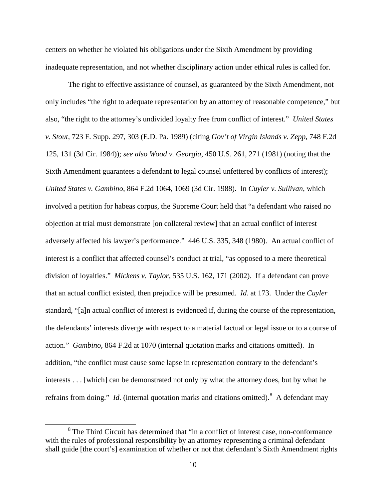centers on whether he violated his obligations under the Sixth Amendment by providing inadequate representation, and not whether disciplinary action under ethical rules is called for.

The right to effective assistance of counsel, as guaranteed by the Sixth Amendment, not only includes "the right to adequate representation by an attorney of reasonable competence," but also, "the right to the attorney's undivided loyalty free from conflict of interest." *United States v. Stout*, 723 F. Supp. 297, 303 (E.D. Pa. 1989) (citing *Gov't of Virgin Islands v. Zepp*, 748 F.2d 125, 131 (3d Cir. 1984)); *see also Wood v. Georgia*, 450 U.S. 261, 271 (1981) (noting that the Sixth Amendment guarantees a defendant to legal counsel unfettered by conflicts of interest); *United States v. Gambino*, 864 F.2d 1064, 1069 (3d Cir. 1988). In *Cuyler v. Sullivan*, which involved a petition for habeas corpus, the Supreme Court held that "a defendant who raised no objection at trial must demonstrate [on collateral review] that an actual conflict of interest adversely affected his lawyer's performance." 446 U.S. 335, 348 (1980). An actual conflict of interest is a conflict that affected counsel's conduct at trial, "as opposed to a mere theoretical division of loyalties." *Mickens v. Taylor*, 535 U.S. 162, 171 (2002). If a defendant can prove that an actual conflict existed, then prejudice will be presumed. *Id*. at 173. Under the *Cuyler* standard, "[a]n actual conflict of interest is evidenced if, during the course of the representation, the defendants' interests diverge with respect to a material factual or legal issue or to a course of action." *Gambino*, 864 F.2d at 1070 (internal quotation marks and citations omitted). In addition, "the conflict must cause some lapse in representation contrary to the defendant's interests . . . [which] can be demonstrated not only by what the attorney does, but by what he refrains from doing." *Id*. (internal quotation marks and citations omitted). <sup>[8](#page-7-0)</sup> A defendant may

<span id="page-9-0"></span><sup>&</sup>lt;sup>8</sup> The Third Circuit has determined that "in a conflict of interest case, non-conformance with the rules of professional responsibility by an attorney representing a criminal defendant shall guide [the court's] examination of whether or not that defendant's Sixth Amendment rights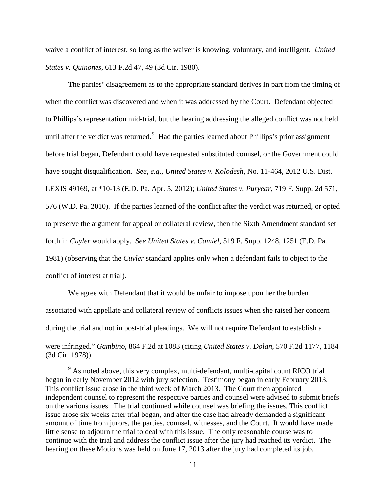waive a conflict of interest, so long as the waiver is knowing, voluntary, and intelligent. *United States v. Quinones*, 613 F.2d 47, 49 (3d Cir. 1980).

The parties' disagreement as to the appropriate standard derives in part from the timing of when the conflict was discovered and when it was addressed by the Court. Defendant objected to Phillips's representation mid-trial, but the hearing addressing the alleged conflict was not held until after the verdict was returned.<sup>[9](#page-9-0)</sup> Had the parties learned about Phillips's prior assignment before trial began, Defendant could have requested substituted counsel, or the Government could have sought disqualification. *See, e.g*., *United States v. Kolodesh*, No. 11-464, 2012 U.S. Dist. LEXIS 49169, at \*10-13 (E.D. Pa. Apr. 5, 2012); *United States v. Puryear*, 719 F. Supp. 2d 571, 576 (W.D. Pa. 2010). If the parties learned of the conflict after the verdict was returned, or opted to preserve the argument for appeal or collateral review, then the Sixth Amendment standard set forth in *Cuyler* would apply. *See United States v. Camiel*, 519 F. Supp. 1248, 1251 (E.D. Pa. 1981) (observing that the *Cuyler* standard applies only when a defendant fails to object to the conflict of interest at trial).

We agree with Defendant that it would be unfair to impose upon her the burden associated with appellate and collateral review of conflicts issues when she raised her concern during the trial and not in post-trial pleadings. We will not require Defendant to establish a

 $\overline{a}$ 

were infringed." *Gambino*, 864 F.2d at 1083 (citing *United States v. Dolan*, 570 F.2d 1177, 1184 (3d Cir. 1978)).

<span id="page-10-0"></span><sup>9</sup> As noted above, this very complex, multi-defendant, multi-capital count RICO trial began in early November 2012 with jury selection. Testimony began in early February 2013. This conflict issue arose in the third week of March 2013. The Court then appointed independent counsel to represent the respective parties and counsel were advised to submit briefs on the various issues. The trial continued while counsel was briefing the issues. This conflict issue arose six weeks after trial began, and after the case had already demanded a significant amount of time from jurors, the parties, counsel, witnesses, and the Court. It would have made little sense to adjourn the trial to deal with this issue. The only reasonable course was to continue with the trial and address the conflict issue after the jury had reached its verdict. The hearing on these Motions was held on June 17, 2013 after the jury had completed its job.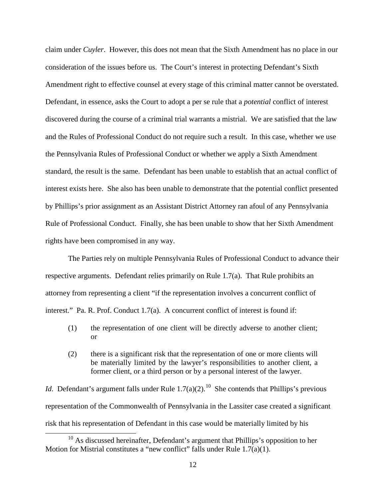claim under *Cuyler*. However, this does not mean that the Sixth Amendment has no place in our consideration of the issues before us. The Court's interest in protecting Defendant's Sixth Amendment right to effective counsel at every stage of this criminal matter cannot be overstated. Defendant, in essence, asks the Court to adopt a per se rule that a *potential* conflict of interest discovered during the course of a criminal trial warrants a mistrial. We are satisfied that the law and the Rules of Professional Conduct do not require such a result. In this case, whether we use the Pennsylvania Rules of Professional Conduct or whether we apply a Sixth Amendment standard, the result is the same. Defendant has been unable to establish that an actual conflict of interest exists here. She also has been unable to demonstrate that the potential conflict presented by Phillips's prior assignment as an Assistant District Attorney ran afoul of any Pennsylvania Rule of Professional Conduct. Finally, she has been unable to show that her Sixth Amendment rights have been compromised in any way.

The Parties rely on multiple Pennsylvania Rules of Professional Conduct to advance their respective arguments. Defendant relies primarily on Rule 1.7(a). That Rule prohibits an attorney from representing a client "if the representation involves a concurrent conflict of interest." Pa. R. Prof. Conduct 1.7(a). A concurrent conflict of interest is found if:

- (1) the representation of one client will be directly adverse to another client; or
- (2) there is a significant risk that the representation of one or more clients will be materially limited by the lawyer's responsibilities to another client, a former client, or a third person or by a personal interest of the lawyer.

*Id*. Defendant's argument falls under Rule 1.7(a)(2).<sup>10</sup> She contends that Phillips's previous representation of the Commonwealth of Pennsylvania in the Lassiter case created a significant risk that his representation of Defendant in this case would be materially limited by his

<span id="page-11-0"></span><sup>&</sup>lt;sup>10</sup> As discussed hereinafter, Defendant's argument that Phillips's opposition to her Motion for Mistrial constitutes a "new conflict" falls under Rule 1.7(a)(1).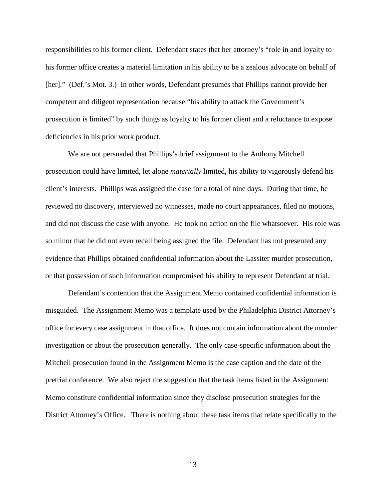responsibilities to his former client. Defendant states that her attorney's "role in and loyalty to his former office creates a material limitation in his ability to be a zealous advocate on behalf of [her]." (Def.'s Mot. 3.) In other words, Defendant presumes that Phillips cannot provide her competent and diligent representation because "his ability to attack the Government's prosecution is limited" by such things as loyalty to his former client and a reluctance to expose deficiencies in his prior work product.

We are not persuaded that Phillips's brief assignment to the Anthony Mitchell prosecution could have limited, let alone *materially* limited, his ability to vigorously defend his client's interests. Phillips was assigned the case for a total of nine days. During that time, he reviewed no discovery, interviewed no witnesses, made no court appearances, filed no motions, and did not discuss the case with anyone. He took no action on the file whatsoever. His role was so minor that he did not even recall being assigned the file. Defendant has not presented any evidence that Phillips obtained confidential information about the Lassiter murder prosecution, or that possession of such information compromised his ability to represent Defendant at trial.

Defendant's contention that the Assignment Memo contained confidential information is misguided. The Assignment Memo was a template used by the Philadelphia District Attorney's office for every case assignment in that office. It does not contain information about the murder investigation or about the prosecution generally. The only case-specific information about the Mitchell prosecution found in the Assignment Memo is the case caption and the date of the pretrial conference. We also reject the suggestion that the task items listed in the Assignment Memo constitute confidential information since they disclose prosecution strategies for the District Attorney's Office. There is nothing about these task items that relate specifically to the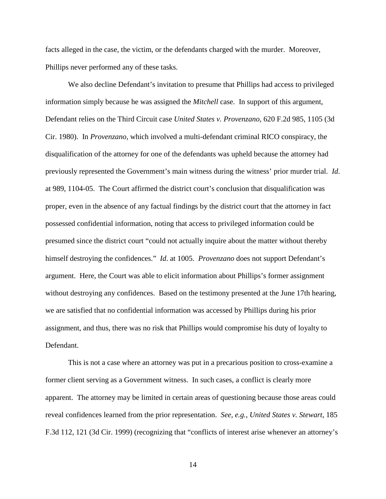facts alleged in the case, the victim, or the defendants charged with the murder. Moreover, Phillips never performed any of these tasks.

We also decline Defendant's invitation to presume that Phillips had access to privileged information simply because he was assigned the *Mitchell* case. In support of this argument, Defendant relies on the Third Circuit case *United States v. Provenzano*, 620 F.2d 985, 1105 (3d Cir. 1980). In *Provenzano*, which involved a multi-defendant criminal RICO conspiracy, the disqualification of the attorney for one of the defendants was upheld because the attorney had previously represented the Government's main witness during the witness' prior murder trial. *Id*. at 989, 1104-05. The Court affirmed the district court's conclusion that disqualification was proper, even in the absence of any factual findings by the district court that the attorney in fact possessed confidential information, noting that access to privileged information could be presumed since the district court "could not actually inquire about the matter without thereby himself destroying the confidences." *Id*. at 1005. *Provenzano* does not support Defendant's argument. Here, the Court was able to elicit information about Phillips's former assignment without destroying any confidences. Based on the testimony presented at the June 17th hearing, we are satisfied that no confidential information was accessed by Phillips during his prior assignment, and thus, there was no risk that Phillips would compromise his duty of loyalty to Defendant.

This is not a case where an attorney was put in a precarious position to cross-examine a former client serving as a Government witness. In such cases, a conflict is clearly more apparent. The attorney may be limited in certain areas of questioning because those areas could reveal confidences learned from the prior representation. *See, e.g.*, *United States v. Stewart*, 185 F.3d 112, 121 (3d Cir. 1999) (recognizing that "conflicts of interest arise whenever an attorney's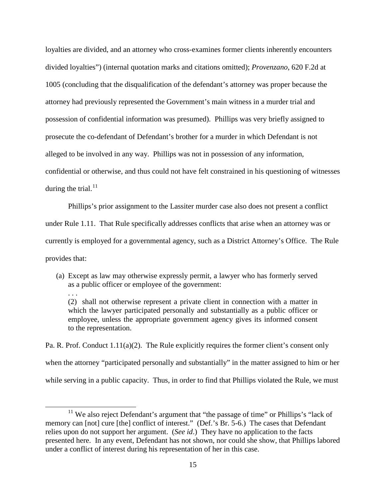loyalties are divided, and an attorney who cross-examines former clients inherently encounters divided loyalties") (internal quotation marks and citations omitted); *Provenzano*, 620 F.2d at 1005 (concluding that the disqualification of the defendant's attorney was proper because the attorney had previously represented the Government's main witness in a murder trial and possession of confidential information was presumed). Phillips was very briefly assigned to prosecute the co-defendant of Defendant's brother for a murder in which Defendant is not alleged to be involved in any way. Phillips was not in possession of any information, confidential or otherwise, and thus could not have felt constrained in his questioning of witnesses during the trial. $^{11}$  $^{11}$  $^{11}$ 

Phillips's prior assignment to the Lassiter murder case also does not present a conflict under Rule 1.11. That Rule specifically addresses conflicts that arise when an attorney was or currently is employed for a governmental agency, such as a District Attorney's Office. The Rule provides that:

(a) Except as law may otherwise expressly permit, a lawyer who has formerly served as a public officer or employee of the government:

. . .

(2) shall not otherwise represent a private client in connection with a matter in which the lawyer participated personally and substantially as a public officer or employee, unless the appropriate government agency gives its informed consent to the representation.

Pa. R. Prof. Conduct 1.11(a)(2). The Rule explicitly requires the former client's consent only when the attorney "participated personally and substantially" in the matter assigned to him or her while serving in a public capacity. Thus, in order to find that Phillips violated the Rule, we must

<sup>&</sup>lt;sup>11</sup> We also reject Defendant's argument that "the passage of time" or Phillips's "lack of memory can [not] cure [the] conflict of interest." (Def.'s Br. 5-6.) The cases that Defendant relies upon do not support her argument. (*See id*.) They have no application to the facts presented here. In any event, Defendant has not shown, nor could she show, that Phillips labored under a conflict of interest during his representation of her in this case.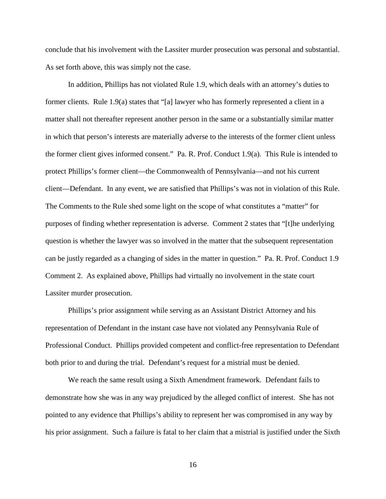conclude that his involvement with the Lassiter murder prosecution was personal and substantial. As set forth above, this was simply not the case.

In addition, Phillips has not violated Rule 1.9, which deals with an attorney's duties to former clients. Rule 1.9(a) states that "[a] lawyer who has formerly represented a client in a matter shall not thereafter represent another person in the same or a substantially similar matter in which that person's interests are materially adverse to the interests of the former client unless the former client gives informed consent." Pa. R. Prof. Conduct 1.9(a). This Rule is intended to protect Phillips's former client—the Commonwealth of Pennsylvania—and not his current client—Defendant. In any event, we are satisfied that Phillips's was not in violation of this Rule. The Comments to the Rule shed some light on the scope of what constitutes a "matter" for purposes of finding whether representation is adverse. Comment 2 states that "[t]he underlying question is whether the lawyer was so involved in the matter that the subsequent representation can be justly regarded as a changing of sides in the matter in question." Pa. R. Prof. Conduct 1.9 Comment 2. As explained above, Phillips had virtually no involvement in the state court Lassiter murder prosecution.

Phillips's prior assignment while serving as an Assistant District Attorney and his representation of Defendant in the instant case have not violated any Pennsylvania Rule of Professional Conduct. Phillips provided competent and conflict-free representation to Defendant both prior to and during the trial. Defendant's request for a mistrial must be denied.

We reach the same result using a Sixth Amendment framework. Defendant fails to demonstrate how she was in any way prejudiced by the alleged conflict of interest. She has not pointed to any evidence that Phillips's ability to represent her was compromised in any way by his prior assignment. Such a failure is fatal to her claim that a mistrial is justified under the Sixth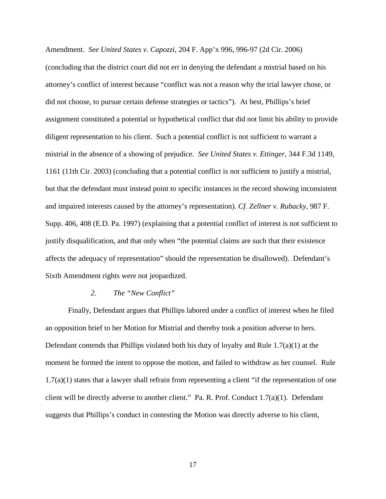Amendment. *See United States v. Capozzi*, 204 F. App'x 996, 996-97 (2d Cir. 2006) (concluding that the district court did not err in denying the defendant a mistrial based on his attorney's conflict of interest because "conflict was not a reason why the trial lawyer chose, or did not choose, to pursue certain defense strategies or tactics"). At best, Phillips's brief assignment constituted a potential or hypothetical conflict that did not limit his ability to provide diligent representation to his client. Such a potential conflict is not sufficient to warrant a mistrial in the absence of a showing of prejudice. *See United States v. Ettinger*, 344 F.3d 1149, 1161 (11th Cir. 2003) (concluding that a potential conflict is not sufficient to justify a mistrial, but that the defendant must instead point to specific instances in the record showing inconsistent and impaired interests caused by the attorney's representation). *Cf. Zellner v. Rubacky*, 987 F. Supp. 406, 408 (E.D. Pa. 1997) (explaining that a potential conflict of interest is not sufficient to justify disqualification, and that only when "the potential claims are such that their existence affects the adequacy of representation" should the representation be disallowed). Defendant's Sixth Amendment rights were not jeopardized.

#### *2. The "New Conflict"*

Finally, Defendant argues that Phillips labored under a conflict of interest when he filed an opposition brief to her Motion for Mistrial and thereby took a position adverse to hers. Defendant contends that Phillips violated both his duty of loyalty and Rule 1.7(a)(1) at the moment he formed the intent to oppose the motion, and failed to withdraw as her counsel. Rule  $1.7(a)(1)$  states that a lawyer shall refrain from representing a client "if the representation of one client will be directly adverse to another client." Pa. R. Prof. Conduct 1.7(a)(1). Defendant suggests that Phillips's conduct in contesting the Motion was directly adverse to his client,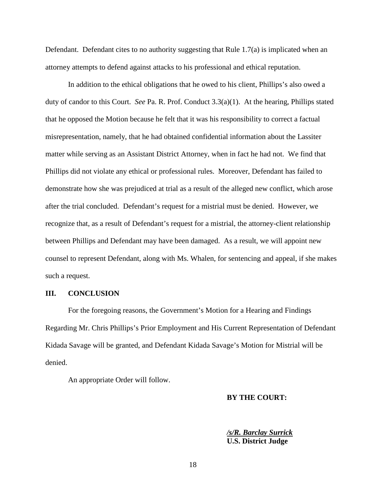Defendant. Defendant cites to no authority suggesting that Rule 1.7(a) is implicated when an attorney attempts to defend against attacks to his professional and ethical reputation.

In addition to the ethical obligations that he owed to his client, Phillips's also owed a duty of candor to this Court. *See* Pa. R. Prof. Conduct 3.3(a)(1). At the hearing, Phillips stated that he opposed the Motion because he felt that it was his responsibility to correct a factual misrepresentation, namely, that he had obtained confidential information about the Lassiter matter while serving as an Assistant District Attorney, when in fact he had not. We find that Phillips did not violate any ethical or professional rules. Moreover, Defendant has failed to demonstrate how she was prejudiced at trial as a result of the alleged new conflict, which arose after the trial concluded. Defendant's request for a mistrial must be denied. However, we recognize that, as a result of Defendant's request for a mistrial, the attorney-client relationship between Phillips and Defendant may have been damaged. As a result, we will appoint new counsel to represent Defendant, along with Ms. Whalen, for sentencing and appeal, if she makes such a request.

#### **III. CONCLUSION**

For the foregoing reasons, the Government's Motion for a Hearing and Findings Regarding Mr. Chris Phillips's Prior Employment and His Current Representation of Defendant Kidada Savage will be granted, and Defendant Kidada Savage's Motion for Mistrial will be denied.

<span id="page-17-0"></span>An appropriate Order will follow.

#### **BY THE COURT:**

*/s/R. Barclay Surrick* **U.S. District Judge**